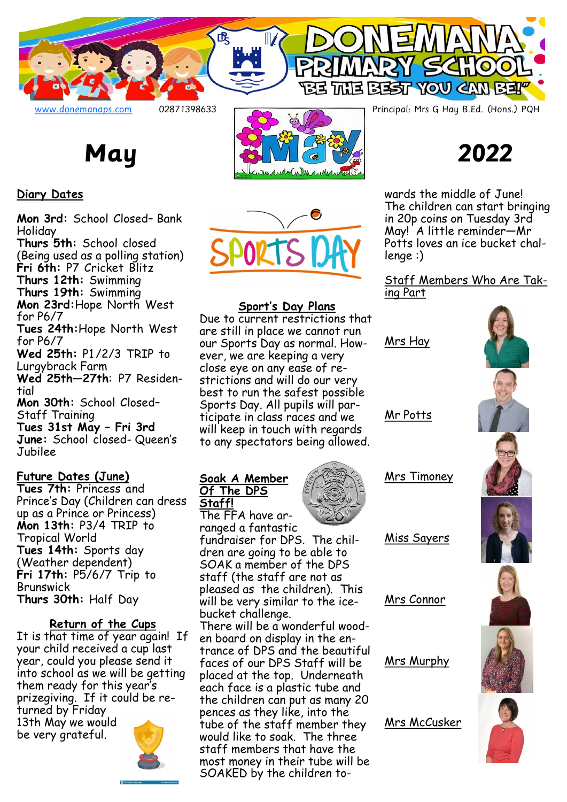

# **Diary Dates**

**Mon 3rd:** School Closed– Bank Holiday

**Thurs 5th:** School closed (Being used as a polling station) **Fri 6th:** P7 Cricket Blitz

**Thurs 12th:** Swimming

**Thurs 19th:** Swimming **Mon 23rd:**Hope North West

for P6/7 **Tues 24th:**Hope North West for P6/7

**Wed 25th:** P1 /2/3 TRIP to Lurgybrack Farm **Wed 25th—27th**: P7 Residen-

tial **Mon 30th:** School Closed–

Staff Training **Tues 31st May – Fri 3rd June:** School closed- Queen's Jubilee

# **Future Dates (June)**

**Tues 7th:** Princess and Prince's Day (Children can dress up as a Prince or Princess) **Mon 13th:** P3/4 TRIP to Tropical World **Tues 14th:** Sports day (Weather dependent) **Fri 17th:** P5/6/7 Trip to Brunswick **Thurs 30th:** Half Day

## **Return of the Cups**

It is that time of year again! If your child received a cup last year, could you please send it into school as we will be getting them ready for this year's prizegiving. If it could be returned by Friday 13th May we would

be very grateful.



氓

# **Sport's Day Plans**

Due to current restrictions that are still in place we cannot run our Sports Day as normal. However, we are keeping a very close eye on any ease of restrictions and will do our very best to run the safest possible Sports Day. All pupils will participate in class races and we will keep in touch with regards to any spectators being allowed.

#### **Soak A Member Of The DPS Staff!**

The FFA have arranged a fantastic

fundraiser for DPS. The children are going to be able to SOAK a member of the DPS staff (the staff are not as pleased as the children). This will be very similar to the icebucket challenge. There will be a wonderful wooden board on display in the entrance of DPS and the beautiful faces of our DPS Staff will be placed at the top. Underneath each face is a plastic tube and the children can put as many 20 pences as they like, into the tube of the staff member they would like to soak. The three staff members that have the most money in their tube will be SOAKED by the children to-



BE THE BEST YOU CAN BE

SCHO

wards the middle of June! The children can start bringing in 20p coins on Tuesday 3rd May! A little reminder—Mr Potts loves an ice bucket challenge :)

## Staff Members Who Are Taking Part